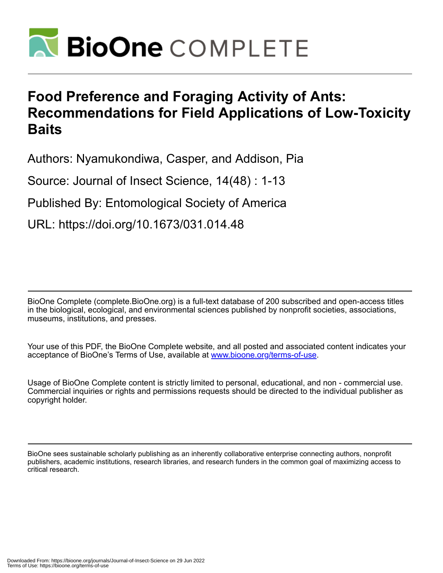

# **Food Preference and Foraging Activity of Ants: Recommendations for Field Applications of Low-Toxicity Baits**

Authors: Nyamukondiwa, Casper, and Addison, Pia

Source: Journal of Insect Science, 14(48) : 1-13

Published By: Entomological Society of America

URL: https://doi.org/10.1673/031.014.48

BioOne Complete (complete.BioOne.org) is a full-text database of 200 subscribed and open-access titles in the biological, ecological, and environmental sciences published by nonprofit societies, associations, museums, institutions, and presses.

Your use of this PDF, the BioOne Complete website, and all posted and associated content indicates your acceptance of BioOne's Terms of Use, available at www.bioone.org/terms-of-use.

Usage of BioOne Complete content is strictly limited to personal, educational, and non - commercial use. Commercial inquiries or rights and permissions requests should be directed to the individual publisher as copyright holder.

BioOne sees sustainable scholarly publishing as an inherently collaborative enterprise connecting authors, nonprofit publishers, academic institutions, research libraries, and research funders in the common goal of maximizing access to critical research.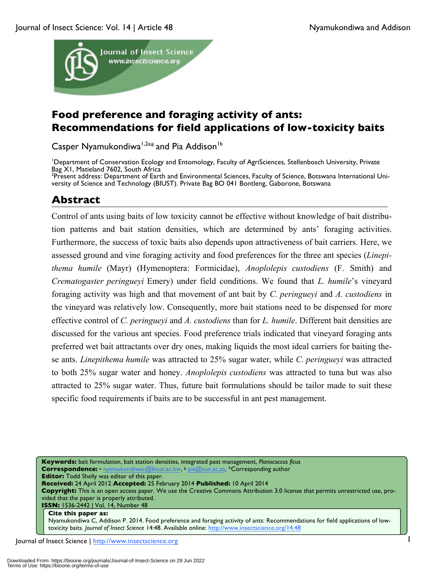

## **Food preference and foraging activity of ants: Recommendations for field applications of low-toxicity baits**

Casper Nyamukondiwa<sup>1,2a\*</sup> and Pia Addison<sup>1b</sup>

1 Department of Conservation Ecology and Entomology, Faculty of AgriSciences, Stellenbosch University, Private Bag XI, Matieland 7602, South Africa

<sup>2</sup>Present address: Department of Earth and Environmental Sciences, Faculty of Science, Botswana International University of Science and Technology (BIUST). Private Bag BO 041 Bontleng, Gaborone, Botswana

## **Abstract**

Control of ants using baits of low toxicity cannot be effective without knowledge of bait distribution patterns and bait station densities, which are determined by ants' foraging activities. Furthermore, the success of toxic baits also depends upon attractiveness of bait carriers. Here, we assessed ground and vine foraging activity and food preferences for the three ant species (*Linepithema humile* (Mayr) (Hymenoptera: Formicidae), *Anoplolepis custodiens* (F. Smith) and *Crematogaster peringueyi* Emery) under field conditions. We found that *L. humile*'s vineyard foraging activity was high and that movement of ant bait by *C. peringueyi* and *A. custodiens* in the vineyard was relatively low. Consequently, more bait stations need to be dispensed for more effective control of *C. peringueyi* and *A. custodiens* than for *L. humile*. Different bait densities are discussed for the various ant species. Food preference trials indicated that vineyard foraging ants preferred wet bait attractants over dry ones, making liquids the most ideal carriers for baiting these ants. *Linepithema humile* was attracted to 25% sugar water, while *C. peringueyi* was attracted to both 25% sugar water and honey. *Anoplolepis custodiens* was attracted to tuna but was also attracted to 25% sugar water. Thus, future bait formulations should be tailor made to suit these specific food requirements if baits are to be successful in ant pest management.

**Keywords:** bait formulation, bait station densities, integrated pest management, *Planococcus ficus* **Correspondence:** <sup>a</sup> nyamukondiwac@biust.ac.bw, b pia@sun.ac.za, \*Corresponding author **Editor:** Todd Shelly was editor of this paper. **Received:** 24 April 2012 **Accepted:** 25 February 2014 **Published:** 10 April 2014 **Copyright:** This is an open access paper. We use the Creative Commons Attribution 3.0 license that permits unrestricted use, provided that the paper is properly attributed. **ISSN:** 1536-2442 | Vol. 14, Number 48

#### **Cite this paper as:**

Nyamukondiwa C, Addison P. 2014. Food preference and foraging activity of ants: Recommendations for field applications of lowtoxicity baits. *Journal of Insect Science* 14:48. Available online: http://www.insectscience.org/14.48

Journal of Insect Science | http://www.insectscience.org 1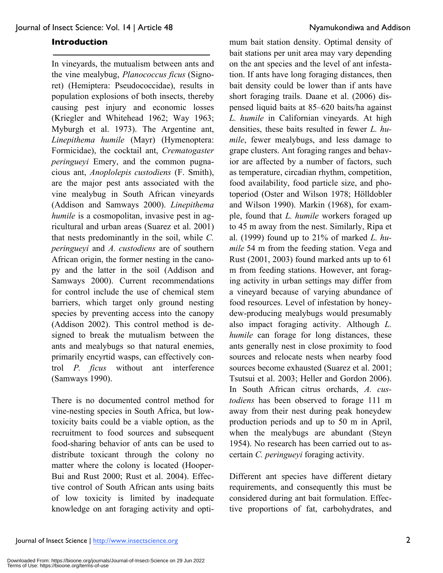#### **Introduction**

In vineyards, the mutualism between ants and the vine mealybug, *Planococcus ficus* (Signoret) (Hemiptera: Pseudococcidae), results in population explosions of both insects, thereby causing pest injury and economic losses (Kriegler and Whitehead 1962; Way 1963; Myburgh et al. 1973). The Argentine ant, *Linepithema humile* (Mayr) (Hymenoptera: Formicidae), the cocktail ant, *Crematogaster peringueyi* Emery, and the common pugnacious ant, *Anoplolepis custodiens* (F. Smith), are the major pest ants associated with the vine mealybug in South African vineyards (Addison and Samways 2000). *Linepithema humile* is a cosmopolitan, invasive pest in agricultural and urban areas (Suarez et al. 2001) that nests predominantly in the soil, while *C. peringueyi* and *A. custodiens* are of southern African origin, the former nesting in the canopy and the latter in the soil (Addison and Samways 2000). Current recommendations for control include the use of chemical stem barriers, which target only ground nesting species by preventing access into the canopy (Addison 2002). This control method is designed to break the mutualism between the ants and mealybugs so that natural enemies, primarily encyrtid wasps, can effectively control *P. ficus* without ant interference (Samways 1990).

There is no documented control method for vine-nesting species in South Africa, but lowtoxicity baits could be a viable option, as the recruitment to food sources and subsequent food-sharing behavior of ants can be used to distribute toxicant through the colony no matter where the colony is located (Hooper-Bui and Rust 2000; Rust et al. 2004). Effective control of South African ants using baits of low toxicity is limited by inadequate knowledge on ant foraging activity and opti-

mum bait station density. Optimal density of bait stations per unit area may vary depending on the ant species and the level of ant infestation. If ants have long foraging distances, then bait density could be lower than if ants have short foraging trails. Daane et al. (2006) dispensed liquid baits at 85–620 baits/ha against *L. humile* in Californian vineyards. At high densities, these baits resulted in fewer *L. humile*, fewer mealybugs, and less damage to grape clusters. Ant foraging ranges and behavior are affected by a number of factors, such as temperature, circadian rhythm, competition, food availability, food particle size, and photoperiod (Oster and Wilson 1978; Hölldobler and Wilson 1990). Markin (1968), for example, found that *L. humile* workers foraged up to 45 m away from the nest. Similarly, Ripa et al. (1999) found up to 21% of marked *L. humile* 54 m from the feeding station. Vega and Rust (2001, 2003) found marked ants up to 61 m from feeding stations. However, ant foraging activity in urban settings may differ from a vineyard because of varying abundance of food resources. Level of infestation by honeydew-producing mealybugs would presumably also impact foraging activity. Although *L. humile* can forage for long distances, these ants generally nest in close proximity to food sources and relocate nests when nearby food sources become exhausted (Suarez et al. 2001; Tsutsui et al. 2003; Heller and Gordon 2006). In South African citrus orchards, *A. custodiens* has been observed to forage 111 m away from their nest during peak honeydew production periods and up to 50 m in April, when the mealybugs are abundant (Steyn 1954). No research has been carried out to ascertain *C. peringueyi* foraging activity.

Different ant species have different dietary requirements, and consequently this must be considered during ant bait formulation. Effective proportions of fat, carbohydrates, and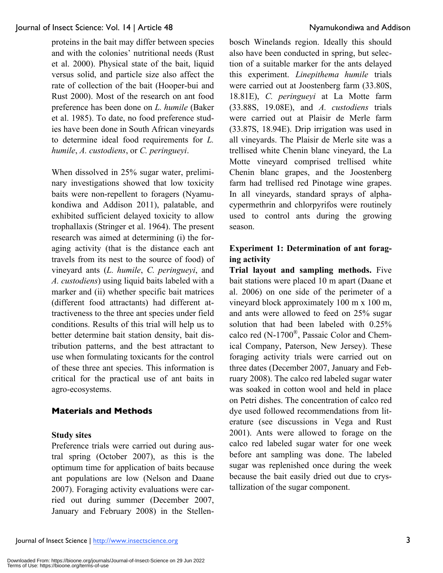proteins in the bait may differ between species and with the colonies' nutritional needs (Rust et al. 2000). Physical state of the bait, liquid versus solid, and particle size also affect the rate of collection of the bait (Hooper-bui and Rust 2000). Most of the research on ant food preference has been done on *L. humile* (Baker et al. 1985). To date, no food preference studies have been done in South African vineyards to determine ideal food requirements for *L. humile*, *A. custodiens*, or *C. peringueyi*.

When dissolved in 25% sugar water, preliminary investigations showed that low toxicity baits were non-repellent to foragers (Nyamukondiwa and Addison 2011), palatable, and exhibited sufficient delayed toxicity to allow trophallaxis (Stringer et al. 1964). The present research was aimed at determining (i) the foraging activity (that is the distance each ant travels from its nest to the source of food) of vineyard ants (*L. humile*, *C. peringueyi*, and *A. custodiens*) using liquid baits labeled with a marker and (ii) whether specific bait matrices (different food attractants) had different attractiveness to the three ant species under field conditions. Results of this trial will help us to better determine bait station density, bait distribution patterns, and the best attractant to use when formulating toxicants for the control of these three ant species. This information is critical for the practical use of ant baits in agro-ecosystems.

#### **Materials and Methods**

#### **Study sites**

Preference trials were carried out during austral spring (October 2007), as this is the optimum time for application of baits because ant populations are low (Nelson and Daane 2007). Foraging activity evaluations were carried out during summer (December 2007, January and February 2008) in the Stellenbosch Winelands region. Ideally this should also have been conducted in spring, but selection of a suitable marker for the ants delayed this experiment. *Linepithema humile* trials were carried out at Joostenberg farm (33.80S, 18.81E), *C. peringueyi* at La Motte farm (33.88S, 19.08E), and *A. custodiens* trials were carried out at Plaisir de Merle farm (33.87S, 18.94E). Drip irrigation was used in all vineyards. The Plaisir de Merle site was a trellised white Chenin blanc vineyard, the La Motte vineyard comprised trellised white Chenin blanc grapes, and the Joostenberg farm had trellised red Pinotage wine grapes. In all vineyards, standard sprays of alphacypermethrin and chlorpyrifos were routinely used to control ants during the growing season.

### **Experiment 1: Determination of ant foraging activity**

**Trial layout and sampling methods.** Five bait stations were placed 10 m apart (Daane et al. 2006) on one side of the perimeter of a vineyard block approximately 100 m x 100 m, and ants were allowed to feed on 25% sugar solution that had been labeled with 0.25% calco red (N-1700®, Passaic Color and Chemical Company, Paterson, New Jersey). These foraging activity trials were carried out on three dates (December 2007, January and February 2008). The calco red labeled sugar water was soaked in cotton wool and held in place on Petri dishes. The concentration of calco red dye used followed recommendations from literature (see discussions in Vega and Rust 2001). Ants were allowed to forage on the calco red labeled sugar water for one week before ant sampling was done. The labeled sugar was replenished once during the week because the bait easily dried out due to crystallization of the sugar component.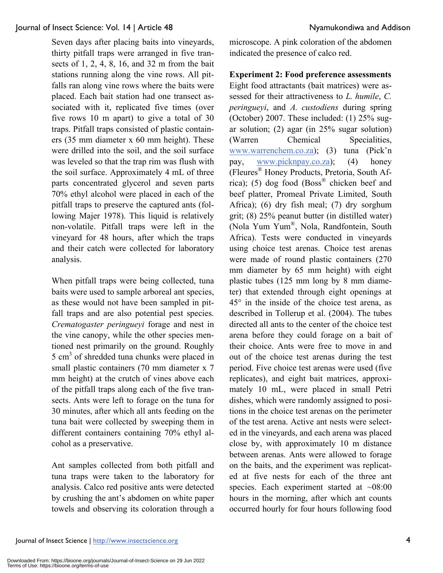Seven days after placing baits into vineyards, thirty pitfall traps were arranged in five transects of 1, 2, 4, 8, 16, and 32 m from the bait stations running along the vine rows. All pitfalls ran along vine rows where the baits were placed. Each bait station had one transect associated with it, replicated five times (over five rows 10 m apart) to give a total of 30 traps. Pitfall traps consisted of plastic containers (35 mm diameter x 60 mm height). These were drilled into the soil, and the soil surface was leveled so that the trap rim was flush with the soil surface. Approximately 4 mL of three parts concentrated glycerol and seven parts 70% ethyl alcohol were placed in each of the pitfall traps to preserve the captured ants (following Majer 1978). This liquid is relatively non-volatile. Pitfall traps were left in the vineyard for 48 hours, after which the traps and their catch were collected for laboratory analysis.

When pitfall traps were being collected, tuna baits were used to sample arboreal ant species, as these would not have been sampled in pitfall traps and are also potential pest species. *Crematogaster peringueyi* forage and nest in the vine canopy, while the other species mentioned nest primarily on the ground. Roughly 5 cm<sup>3</sup> of shredded tuna chunks were placed in small plastic containers (70 mm diameter x 7 mm height) at the crutch of vines above each of the pitfall traps along each of the five transects. Ants were left to forage on the tuna for 30 minutes, after which all ants feeding on the tuna bait were collected by sweeping them in different containers containing 70% ethyl alcohol as a preservative.

Ant samples collected from both pitfall and tuna traps were taken to the laboratory for analysis. Calco red positive ants were detected by crushing the ant's abdomen on white paper towels and observing its coloration through a microscope. A pink coloration of the abdomen indicated the presence of calco red.

#### **Experiment 2: Food preference assessments**

Eight food attractants (bait matrices) were assessed for their attractiveness to *L. humile*, *C. peringueyi*, and *A. custodiens* during spring (October) 2007. These included: (1) 25% sugar solution; (2) agar (in 25% sugar solution) (Warren Chemical Specialities, www.warrenchem.co.za); (3) tuna (Pick'n pay, www.picknpay.co.za); (4) honey (Fleures® Honey Products, Pretoria, South Africa); (5) dog food (Boss® chicken beef and beef platter, Promeal Private Limited, South Africa); (6) dry fish meal; (7) dry sorghum grit; (8) 25% peanut butter (in distilled water) (Nola Yum Yum®, Nola, Randfontein, South Africa). Tests were conducted in vineyards using choice test arenas. Choice test arenas were made of round plastic containers (270 mm diameter by 65 mm height) with eight plastic tubes (125 mm long by 8 mm diameter) that extended through eight openings at 45° in the inside of the choice test arena, as described in Tollerup et al. (2004). The tubes directed all ants to the center of the choice test arena before they could forage on a bait of their choice. Ants were free to move in and out of the choice test arenas during the test period. Five choice test arenas were used (five replicates), and eight bait matrices, approximately 10 mL, were placed in small Petri dishes, which were randomly assigned to positions in the choice test arenas on the perimeter of the test arena. Active ant nests were selected in the vineyards, and each arena was placed close by, with approximately 10 m distance between arenas. Ants were allowed to forage on the baits, and the experiment was replicated at five nests for each of the three ant species. Each experiment started at  $~108:00$ hours in the morning, after which ant counts occurred hourly for four hours following food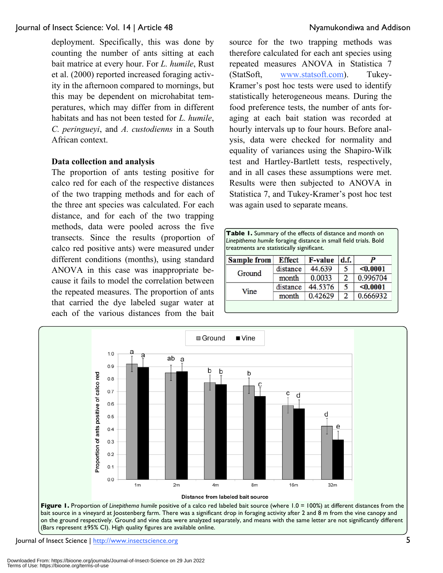deployment. Specifically, this was done by counting the number of ants sitting at each bait matrice at every hour. For *L. humile*, Rust et al. (2000) reported increased foraging activity in the afternoon compared to mornings, but this may be dependent on microhabitat temperatures, which may differ from in different habitats and has not been tested for *L. humile*, *C. peringueyi*, and *A. custodienns* in a South African context.

#### **Data collection and analysis**

The proportion of ants testing positive for calco red for each of the respective distances of the two trapping methods and for each of the three ant species was calculated. For each distance, and for each of the two trapping methods, data were pooled across the five transects. Since the results (proportion of calco red positive ants) were measured under different conditions (months), using standard ANOVA in this case was inappropriate because it fails to model the correlation between the repeated measures. The proportion of ants that carried the dye labeled sugar water at each of the various distances from the bait

source for the two trapping methods was therefore calculated for each ant species using repeated measures ANOVA in Statistica 7 (StatSoft, www.statsoft.com). Tukey-Kramer's post hoc tests were used to identify statistically heterogeneous means. During the food preference tests, the number of ants foraging at each bait station was recorded at hourly intervals up to four hours. Before analysis, data were checked for normality and equality of variances using the Shapiro-Wilk test and Hartley-Bartlett tests, respectively, and in all cases these assumptions were met. Results were then subjected to ANOVA in Statistica 7, and Tukey-Kramer's post hoc test was again used to separate means.

| treatments are statistically significant. |               | Linepithema humile foraging distance in small field trials. Bold |                |          |
|-------------------------------------------|---------------|------------------------------------------------------------------|----------------|----------|
| <b>Sample from</b>                        | <b>Effect</b> | <b>F-value</b>                                                   | d.f.           |          |
|                                           | distance      | 44.639                                                           | 5              | < 0.0001 |
| Ground                                    | month         | 0.0033                                                           | $\overline{2}$ | 0.996704 |
| Vine                                      | distance      | 44.5376                                                          | 5              | < 0.0001 |
|                                           | month         | 0.42629                                                          | $\overline{2}$ | 0.666932 |



Journal of Insect Science | http://www.insectscience.org 5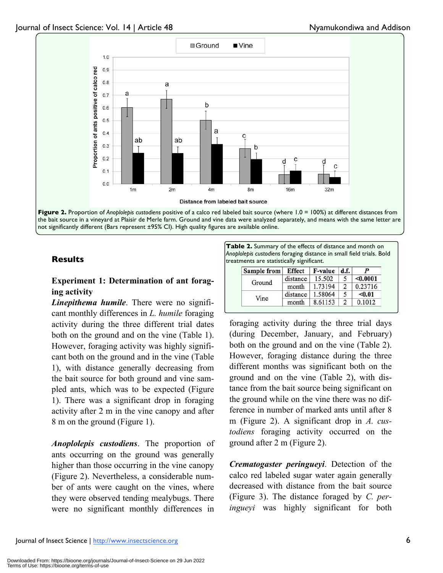



### **Experiment 1: Determination of ant foraging activity**

*Linepithema humile*. There were no significant monthly differences in *L. humile* foraging activity during the three different trial dates both on the ground and on the vine (Table 1). However, foraging activity was highly significant both on the ground and in the vine (Table 1), with distance generally decreasing from the bait source for both ground and vine sampled ants, which was to be expected (Figure 1). There was a significant drop in foraging activity after 2 m in the vine canopy and after 8 m on the ground (Figure 1).

*Anoplolepis custodiens*. The proportion of ants occurring on the ground was generally higher than those occurring in the vine canopy (Figure 2). Nevertheless, a considerable number of ants were caught on the vines, where they were observed tending mealybugs. There were no significant monthly differences in

**Table 2.** Summary of the effects of distance and month on *Anoplolepis custodiens* foraging distance in small field trials. Bold **Results** treatments are statistically significant.

| Sample from | <b>Effect</b> | <b>F-value</b> | d.f.          |          |
|-------------|---------------|----------------|---------------|----------|
|             | distance      | 15.502         |               | < 0.0001 |
| Ground      | month         | 1.73194        | $\mathcal{D}$ | 0.23716  |
| Vine        | distance      | 1.58064        |               | < 0.01   |
|             | month         | 8.61153        |               | 0.1012   |

foraging activity during the three trial days (during December, January, and February) both on the ground and on the vine (Table 2). However, foraging distance during the three different months was significant both on the ground and on the vine (Table 2), with distance from the bait source being significant on the ground while on the vine there was no difference in number of marked ants until after 8 m (Figure 2). A significant drop in *A. custodiens* foraging activity occurred on the ground after 2 m (Figure 2).

*Crematogaster peringueyi*. Detection of the calco red labeled sugar water again generally decreased with distance from the bait source (Figure 3). The distance foraged by *C. peringueyi* was highly significant for both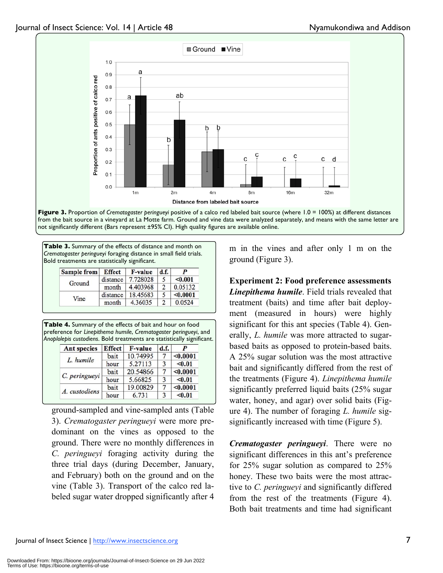

**Figure 3.** Proportion of *Crematogaster peringueyi* positive of a calco red labeled bait source (where 1.0 = 100%) at different distances from the bait source in a vineyard at La Motte farm. Ground and vine data were analyzed separately, and means with the same letter are not significantly different (Bars represent ±95% CI). High quality figures are available online.

**Table 3.** Summary of the effects of distance and month on *Crematogaster peringueyi* foraging distance in small field trials. Bold treatments are statistically significant.

| <b>Sample from</b> | <b>Effect</b> | <b>F-value</b> | d.f. |          |
|--------------------|---------------|----------------|------|----------|
| Ground             | distance      | 7.728028       |      | < 0.001  |
|                    | month         | 4.403968       | C    | 0.05132  |
|                    | distance      | 18.45683       |      | < 0.0001 |
| Vine               | month         | 4.36035        |      | 0.0524   |

**Table 4.** Summary of the effects of bait and hour on food preference for *Linepithema humile*, *Crematogaster peringueyi*, and *Anoplolepis custodiens*. Bold treatments are statistically significant.

| <b>Ant species</b> | <b>Effect</b> | <b>F-value</b> | d.f. |          |
|--------------------|---------------|----------------|------|----------|
| L. humile          | bait          | 10.74995       |      | < 0.0001 |
|                    | hour          | 5.27113        | 3    | < 0.01   |
|                    | bait          | 20.54866       |      | < 0.0001 |
| C. peringueyi      | hour          | 5.66825        | 3    | < 0.01   |
| bait               |               | 19.00829       |      | < 0.0001 |
| A. custodiens      | hour          | 6.731          | 3    | < 0.01   |

ground-sampled and vine-sampled ants (Table 3). *Crematogaster peringueyi* were more predominant on the vines as opposed to the ground. There were no monthly differences in *C. peringueyi* foraging activity during the three trial days (during December, January, and February) both on the ground and on the vine (Table 3). Transport of the calco red labeled sugar water dropped significantly after 4 m in the vines and after only 1 m on the ground (Figure 3).

**Experiment 2: Food preference assessments** *Linepithema humile*. Field trials revealed that treatment (baits) and time after bait deployment (measured in hours) were highly significant for this ant species (Table 4). Generally, *L. humile* was more attracted to sugarbased baits as opposed to protein-based baits. A 25% sugar solution was the most attractive bait and significantly differed from the rest of the treatments (Figure 4). *Linepithema humile*  significantly preferred liquid baits (25% sugar water, honey, and agar) over solid baits (Figure 4). The number of foraging *L. humile* sigsignificantly increased with time (Figure 5).

*Crematogaster peringueyi*. There were no significant differences in this ant's preference for 25% sugar solution as compared to 25% honey. These two baits were the most attractive to *C. peringueyi* and significantly differed from the rest of the treatments (Figure 4). Both bait treatments and time had significant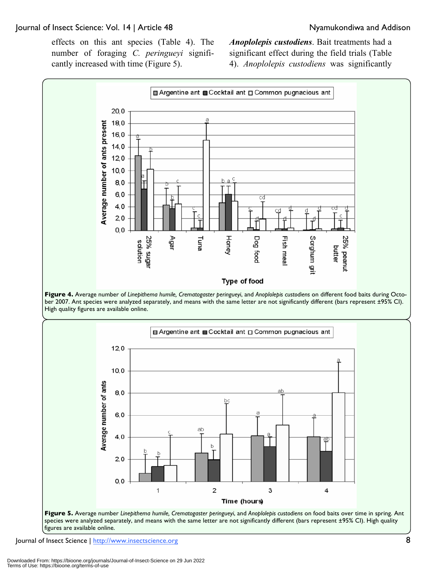effects on this ant species (Table 4). The number of foraging *C. peringueyi* significantly increased with time (Figure 5).

*Anoplolepis custodiens*. Bait treatments had a significant effect during the field trials (Table 4). *Anoplolepis custodiens* was significantly



**Figure 4.** Average number of *Linepithema humile, Crematogaster peringueyi*, and *Anoplolepis custodiens* on different food baits during October 2007. Ant species were analyzed separately, and means with the same letter are not significantly different (bars represent ±95% CI). High quality figures are available online.



species were analyzed separately, and means with the same letter are not significantly different (bars represent ±95% CI). High quality figures are available online.

Journal of Insect Science | http://www.insectscience.org 8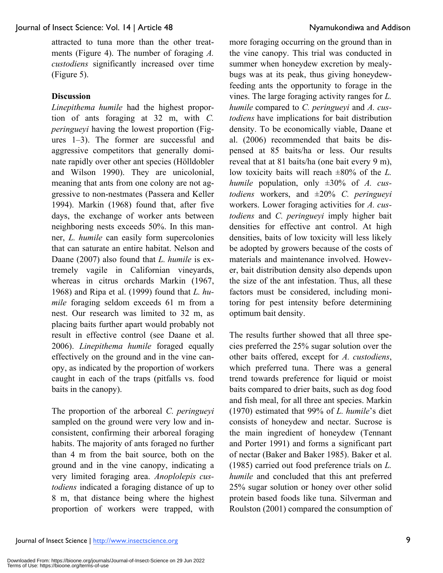attracted to tuna more than the other treatments (Figure 4). The number of foraging *A. custodiens* significantly increased over time (Figure 5).

#### **Discussion**

*Linepithema humile* had the highest proportion of ants foraging at 32 m, with *C. peringueyi* having the lowest proportion (Figures 1–3). The former are successful and aggressive competitors that generally dominate rapidly over other ant species (Hölldobler and Wilson 1990). They are unicolonial, meaning that ants from one colony are not aggressive to non-nestmates (Passera and Keller 1994). Markin (1968) found that, after five days, the exchange of worker ants between neighboring nests exceeds 50%. In this manner, *L. humile* can easily form supercolonies that can saturate an entire habitat. Nelson and Daane (2007) also found that *L. humile* is extremely vagile in Californian vineyards, whereas in citrus orchards Markin (1967, 1968) and Ripa et al. (1999) found that *L. humile* foraging seldom exceeds 61 m from a nest. Our research was limited to 32 m, as placing baits further apart would probably not result in effective control (see Daane et al. 2006). *Linepithema humile* foraged equally effectively on the ground and in the vine canopy, as indicated by the proportion of workers caught in each of the traps (pitfalls vs. food baits in the canopy).

The proportion of the arboreal *C. peringueyi* sampled on the ground were very low and inconsistent, confirming their arboreal foraging habits. The majority of ants foraged no further than 4 m from the bait source, both on the ground and in the vine canopy, indicating a very limited foraging area. *Anoplolepis custodiens* indicated a foraging distance of up to 8 m, that distance being where the highest proportion of workers were trapped, with more foraging occurring on the ground than in the vine canopy. This trial was conducted in summer when honeydew excretion by mealybugs was at its peak, thus giving honeydewfeeding ants the opportunity to forage in the vines. The large foraging activity ranges for *L. humile* compared to *C. peringueyi* and *A. custodiens* have implications for bait distribution density. To be economically viable, Daane et al. (2006) recommended that baits be dispensed at 85 baits/ha or less. Our results reveal that at 81 baits/ha (one bait every 9 m), low toxicity baits will reach ±80% of the *L. humile* population, only ±30% of *A. custodiens* workers, and ±20% *C. peringueyi* workers. Lower foraging activities for *A. custodiens* and *C. peringueyi* imply higher bait densities for effective ant control. At high densities, baits of low toxicity will less likely be adopted by growers because of the costs of materials and maintenance involved. However, bait distribution density also depends upon the size of the ant infestation. Thus, all these factors must be considered, including monitoring for pest intensity before determining optimum bait density.

The results further showed that all three species preferred the 25% sugar solution over the other baits offered, except for *A. custodiens*, which preferred tuna. There was a general trend towards preference for liquid or moist baits compared to drier baits, such as dog food and fish meal, for all three ant species. Markin (1970) estimated that 99% of *L. humile*'s diet consists of honeydew and nectar. Sucrose is the main ingredient of honeydew (Tennant and Porter 1991) and forms a significant part of nectar (Baker and Baker 1985). Baker et al. (1985) carried out food preference trials on *L. humile* and concluded that this ant preferred 25% sugar solution or honey over other solid protein based foods like tuna. Silverman and Roulston (2001) compared the consumption of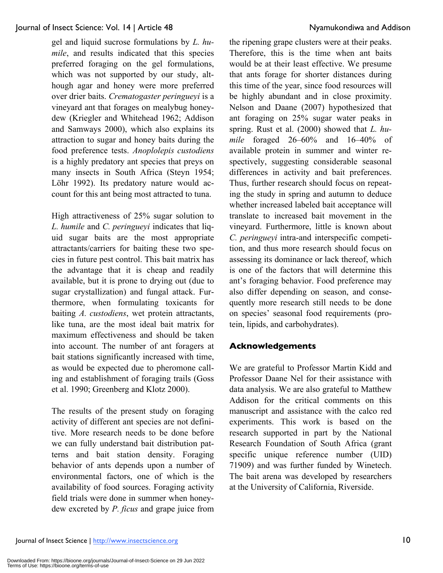gel and liquid sucrose formulations by *L. humile*, and results indicated that this species preferred foraging on the gel formulations, which was not supported by our study, although agar and honey were more preferred over drier baits. *Crematogaster peringueyi* is a vineyard ant that forages on mealybug honeydew (Kriegler and Whitehead 1962; Addison and Samways 2000), which also explains its attraction to sugar and honey baits during the food preference tests. *Anoplolepis custodiens* is a highly predatory ant species that preys on many insects in South Africa (Steyn 1954; Löhr 1992). Its predatory nature would account for this ant being most attracted to tuna.

High attractiveness of 25% sugar solution to *L. humile* and *C. peringueyi* indicates that liquid sugar baits are the most appropriate attractants/carriers for baiting these two species in future pest control. This bait matrix has the advantage that it is cheap and readily available, but it is prone to drying out (due to sugar crystallization) and fungal attack. Furthermore, when formulating toxicants for baiting *A. custodiens*, wet protein attractants, like tuna, are the most ideal bait matrix for maximum effectiveness and should be taken into account. The number of ant foragers at bait stations significantly increased with time, as would be expected due to pheromone calling and establishment of foraging trails (Goss et al. 1990; Greenberg and Klotz 2000).

The results of the present study on foraging activity of different ant species are not definitive. More research needs to be done before we can fully understand bait distribution patterns and bait station density. Foraging behavior of ants depends upon a number of environmental factors, one of which is the availability of food sources. Foraging activity field trials were done in summer when honeydew excreted by *P. ficus* and grape juice from

the ripening grape clusters were at their peaks. Therefore, this is the time when ant baits would be at their least effective. We presume that ants forage for shorter distances during this time of the year, since food resources will be highly abundant and in close proximity. Nelson and Daane (2007) hypothesized that ant foraging on 25% sugar water peaks in spring. Rust et al. (2000) showed that *L. humile* foraged 26–60% and 16–40% of available protein in summer and winter respectively, suggesting considerable seasonal differences in activity and bait preferences. Thus, further research should focus on repeating the study in spring and autumn to deduce whether increased labeled bait acceptance will translate to increased bait movement in the vineyard. Furthermore, little is known about *C. peringueyi* intra-and interspecific competition, and thus more research should focus on assessing its dominance or lack thereof, which is one of the factors that will determine this ant's foraging behavior. Food preference may also differ depending on season, and consequently more research still needs to be done on species' seasonal food requirements (protein, lipids, and carbohydrates).

#### **Acknowledgements**

We are grateful to Professor Martin Kidd and Professor Daane Nel for their assistance with data analysis. We are also grateful to Matthew Addison for the critical comments on this manuscript and assistance with the calco red experiments. This work is based on the research supported in part by the National Research Foundation of South Africa (grant specific unique reference number (UID) 71909) and was further funded by Winetech. The bait arena was developed by researchers at the University of California, Riverside.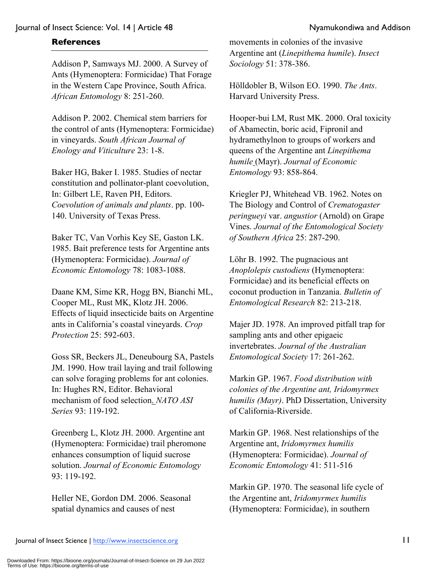#### **References**

Addison P, Samways MJ. 2000. A Survey of Ants (Hymenoptera: Formicidae) That Forage in the Western Cape Province, South Africa. *African Entomology* 8: 251-260.

Addison P. 2002. Chemical stem barriers for the control of ants (Hymenoptera: Formicidae) in vineyards. *South African Journal of Enology and Viticulture* 23: 1-8.

Baker HG, Baker I. 1985. Studies of nectar constitution and pollinator-plant coevolution, In: Gilbert LE, Raven PH, Editors. *Coevolution of animals and plants*. pp. 100- 140. University of Texas Press.

Baker TC, Van Vorhis Key SE, Gaston LK. 1985. Bait preference tests for Argentine ants (Hymenoptera: Formicidae). *Journal of Economic Entomology* 78: 1083-1088.

Daane KM, Sime KR, Hogg BN, Bianchi ML, Cooper ML, Rust MK, Klotz JH. 2006. Effects of liquid insecticide baits on Argentine ants in California's coastal vineyards. *Crop Protection* 25: 592-603.

Goss SR, Beckers JL, Deneubourg SA, Pastels JM. 1990. How trail laying and trail following can solve foraging problems for ant colonies. In: Hughes RN, Editor. Behavioral mechanism of food selection. *NATO ASI Series* 93: 119-192.

Greenberg L, Klotz JH. 2000. Argentine ant (Hymenoptera: Formicidae) trail pheromone enhances consumption of liquid sucrose solution. *Journal of Economic Entomology*  93: 119-192.

Heller NE, Gordon DM. 2006. Seasonal spatial dynamics and causes of nest

movements in colonies of the invasive Argentine ant (*Linepithema humile*). *Insect Sociology* 51: 378-386.

Hölldobler B, Wilson EO. 1990. *The Ants*. Harvard University Press.

Hooper-bui LM, Rust MK. 2000. Oral toxicity of Abamectin, boric acid, Fipronil and hydramethylnon to groups of workers and queens of the Argentine ant *Linepithema humile* (Mayr). *Journal of Economic Entomology* 93: 858-864.

Kriegler PJ, Whitehead VB. 1962. Notes on The Biology and Control of *Crematogaster peringueyi* var. *angustior* (Arnold) on Grape Vines. *Journal of the Entomological Society of Southern Africa* 25: 287-290.

Löhr B. 1992. The pugnacious ant *Anoplolepis custodiens* (Hymenoptera: Formicidae) and its beneficial effects on coconut production in Tanzania. *Bulletin of Entomological Research* 82: 213-218.

Majer JD. 1978. An improved pitfall trap for sampling ants and other epigaeic invertebrates. *Journal of the Australian Entomological Society* 17: 261-262.

Markin GP. 1967. *Food distribution with colonies of the Argentine ant, Iridomyrmex humilis (Mayr)*. PhD Dissertation, University of California-Riverside.

Markin GP. 1968. Nest relationships of the Argentine ant, *Iridomyrmex humilis* (Hymenoptera: Formicidae). *Journal of Economic Entomology* 41: 511-516

Markin GP. 1970. The seasonal life cycle of the Argentine ant, *Iridomyrmex humilis* (Hymenoptera: Formicidae), in southern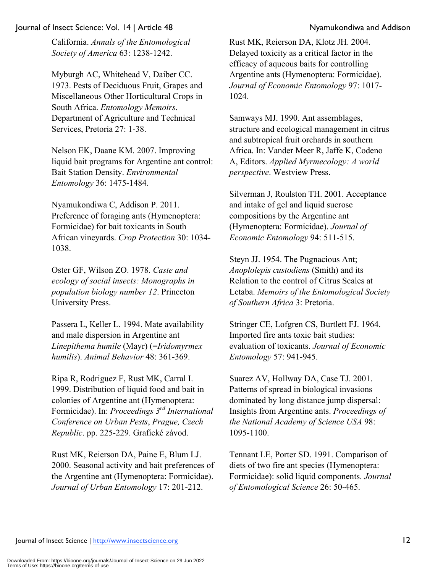California. *Annals of the Entomological Society of America* 63: 1238-1242.

Myburgh AC, Whitehead V, Daiber CC. 1973. Pests of Deciduous Fruit, Grapes and Miscellaneous Other Horticultural Crops in South Africa. *Entomology Memoirs*. Department of Agriculture and Technical Services, Pretoria 27: 1-38.

Nelson EK, Daane KM. 2007. Improving liquid bait programs for Argentine ant control: Bait Station Density. *Environmental Entomology* 36: 1475-1484.

Nyamukondiwa C, Addison P. 2011. Preference of foraging ants (Hymenoptera: Formicidae) for bait toxicants in South African vineyards. *Crop Protection* 30: 1034- 1038.

Oster GF, Wilson ZO. 1978. *Caste and ecology of social insects: Monographs in population biology number 12*. Princeton University Press.

Passera L, Keller L. 1994. Mate availability and male dispersion in Argentine ant *Linepithema humile* (Mayr) (=*Iridomyrmex humilis*). *Animal Behavior* 48: 361-369.

Ripa R, Rodriguez F, Rust MK, Carral I. 1999. Distribution of liquid food and bait in colonies of Argentine ant (Hymenoptera: Formicidae). In: *Proceedings 3rd International Conference on Urban Pests*, *Prague, Czech Republic*. pp. 225-229. Grafické závod.

Rust MK, Reierson DA, Paine E, Blum LJ. 2000. Seasonal activity and bait preferences of the Argentine ant (Hymenoptera: Formicidae). *Journal of Urban Entomology* 17: 201-212.

Rust MK, Reierson DA, Klotz JH. 2004. Delayed toxicity as a critical factor in the efficacy of aqueous baits for controlling Argentine ants (Hymenoptera: Formicidae). *Journal of Economic Entomology* 97: 1017- 1024.

Samways MJ. 1990. Ant assemblages, structure and ecological management in citrus and subtropical fruit orchards in southern Africa. In: Vander Meer R, Jaffe K, Codeno A, Editors. *Applied Myrmecology: A world perspective*. Westview Press.

Silverman J, Roulston TH. 2001. Acceptance and intake of gel and liquid sucrose compositions by the Argentine ant (Hymenoptera: Formicidae). *Journal of Economic Entomology* 94: 511-515.

Steyn JJ. 1954. The Pugnacious Ant; *Anoplolepis custodiens* (Smith) and its Relation to the control of Citrus Scales at Letaba. *Memoirs of the Entomological Society of Southern Africa* 3: Pretoria.

Stringer CE, Lofgren CS, Burtlett FJ. 1964. Imported fire ants toxic bait studies: evaluation of toxicants. *Journal of Economic Entomology* 57: 941-945.

Suarez AV, Hollway DA, Case TJ. 2001. Patterns of spread in biological invasions dominated by long distance jump dispersal: Insights from Argentine ants. *Proceedings of the National Academy of Science USA* 98: 1095-1100.

Tennant LE, Porter SD. 1991. Comparison of diets of two fire ant species (Hymenoptera: Formicidae): solid liquid components. *Journal of Entomological Science* 26: 50-465.